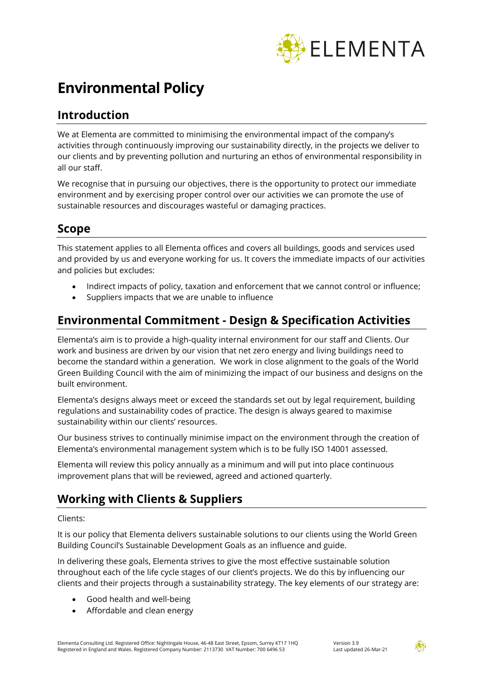

# **Environmental Policy**

#### **Introduction**

We at Elementa are committed to minimising the environmental impact of the company's activities through continuously improving our sustainability directly, in the projects we deliver to our clients and by preventing pollution and nurturing an ethos of environmental responsibility in all our staff.

We recognise that in pursuing our objectives, there is the opportunity to protect our immediate environment and by exercising proper control over our activities we can promote the use of sustainable resources and discourages wasteful or damaging practices.

#### **Scope**

This statement applies to all Elementa offices and covers all buildings, goods and services used and provided by us and everyone working for us. It covers the immediate impacts of our activities and policies but excludes:

- Indirect impacts of policy, taxation and enforcement that we cannot control or influence;
- Suppliers impacts that we are unable to influence

#### **Environmental Commitment - Design & Specification Activities**

Elementa's aim is to provide a high-quality internal environment for our staff and Clients. Our work and business are driven by our vision that net zero energy and living buildings need to become the standard within a generation. We work in close alignment to the goals of the World Green Building Council with the aim of minimizing the impact of our business and designs on the built environment.

Elementa's designs always meet or exceed the standards set out by legal requirement, building regulations and sustainability codes of practice. The design is always geared to maximise sustainability within our clients' resources.

Our business strives to continually minimise impact on the environment through the creation of Elementa's environmental management system which is to be fully ISO 14001 assessed.

Elementa will review this policy annually as a minimum and will put into place continuous improvement plans that will be reviewed, agreed and actioned quarterly.

### **Working with Clients & Suppliers**

#### Clients:

It is our policy that Elementa delivers sustainable solutions to our clients using the World Green Building Council's Sustainable Development Goals as an influence and guide.

In delivering these goals, Elementa strives to give the most effective sustainable solution throughout each of the life cycle stages of our client's projects. We do this by influencing our clients and their projects through a sustainability strategy. The key elements of our strategy are:

- Good health and well-being
- Affordable and clean energy

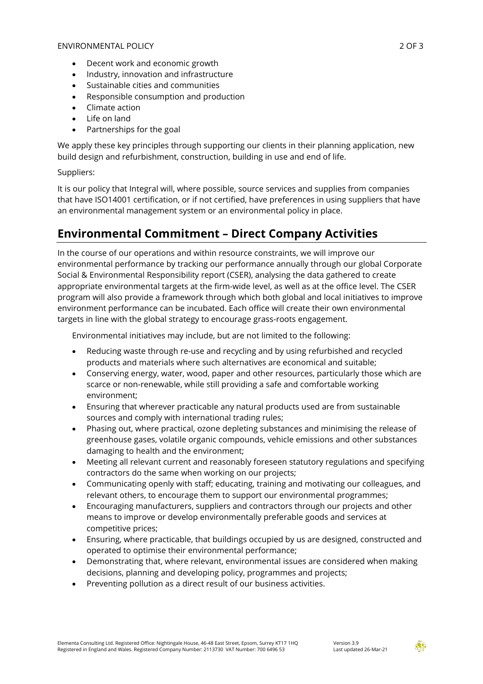- Decent work and economic growth
- Industry, innovation and infrastructure
- Sustainable cities and communities
- Responsible consumption and production
- Climate action
- Life on land
- Partnerships for the goal

We apply these key principles through supporting our clients in their planning application, new build design and refurbishment, construction, building in use and end of life.

#### Suppliers:

It is our policy that Integral will, where possible, source services and supplies from companies that have ISO14001 certification, or if not certified, have preferences in using suppliers that have an environmental management system or an environmental policy in place.

### **Environmental Commitment – Direct Company Activities**

In the course of our operations and within resource constraints, we will improve our environmental performance by tracking our performance annually through our global Corporate Social & Environmental Responsibility report (CSER), analysing the data gathered to create appropriate environmental targets at the firm-wide level, as well as at the office level. The CSER program will also provide a framework through which both global and local initiatives to improve environment performance can be incubated. Each office will create their own environmental targets in line with the global strategy to encourage grass-roots engagement.

Environmental initiatives may include, but are not limited to the following:

- Reducing waste through re-use and recycling and by using refurbished and recycled products and materials where such alternatives are economical and suitable;
- Conserving energy, water, wood, paper and other resources, particularly those which are scarce or non-renewable, while still providing a safe and comfortable working environment;
- Ensuring that wherever practicable any natural products used are from sustainable sources and comply with international trading rules;
- Phasing out, where practical, ozone depleting substances and minimising the release of greenhouse gases, volatile organic compounds, vehicle emissions and other substances damaging to health and the environment;
- Meeting all relevant current and reasonably foreseen statutory regulations and specifying contractors do the same when working on our projects;
- Communicating openly with staff; educating, training and motivating our colleagues, and relevant others, to encourage them to support our environmental programmes;
- Encouraging manufacturers, suppliers and contractors through our projects and other means to improve or develop environmentally preferable goods and services at competitive prices;
- Ensuring, where practicable, that buildings occupied by us are designed, constructed and operated to optimise their environmental performance;
- Demonstrating that, where relevant, environmental issues are considered when making decisions, planning and developing policy, programmes and projects;
- Preventing pollution as a direct result of our business activities.